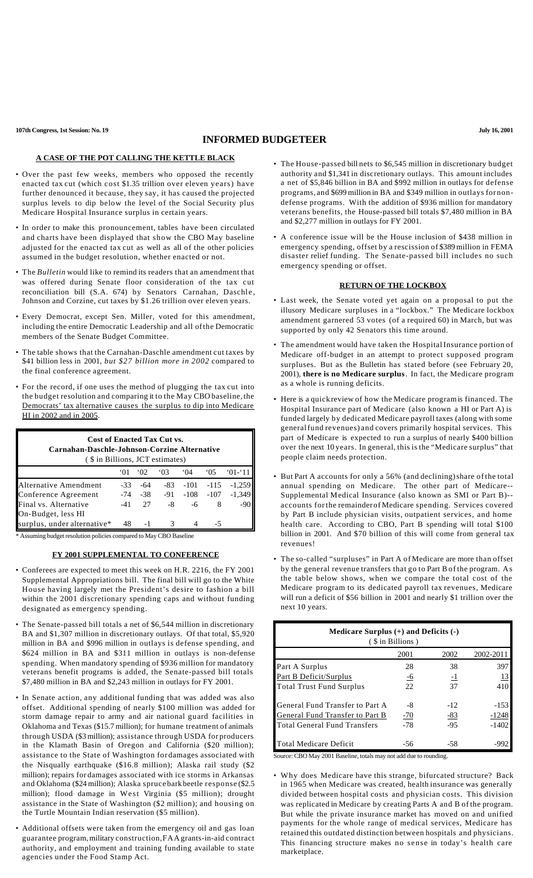**107th Congress, 1st Session: No. 19 July 16, 2001**

## **INFORMED BUDGETEER**

### **A CASE OF THE POT CALLING THE KETTLE BLACK**

- Over the past few weeks, members who opposed the recently enacted tax cut (which cost \$1.35 trillion over eleven years) have further denounced it because, they say, it has caused the projected surplus levels to dip below the level of the Social Security plus Medicare Hospital Insurance surplus in certain years.
- In order to make this pronouncement, tables have been circulated and charts have been displayed that show the CBO May baseline adjusted for the enacted tax cut as well as all of the other policies assumed in the budget resolution, whether enacted or not.
- The *Bulletin* would like to remind its readers that an amendment that was offered during Senate floor consideration of the tax cut reconciliation bill (S.A. 674) by Senators Carnahan, Daschle, Johnson and Corzine, cut taxes by \$1.26 trillion over eleven years.
- Every Democrat, except Sen. Miller, voted for this amendment, including the entire Democratic Leadership and all ofthe Democratic members of the Senate Budget Committee.
- The table shows that the Carnahan-Daschle amendment cut taxes by \$41 billion less in 2001, *but \$27 billion more in 2002* compared to the final conference agreement.
- For the record, if one uses the method of plugging the tax cut into the budget resolution and comparing it to the May CBO baseline, the Democrats' tax alternative causes the surplus to dip into Medicare HI in 2002 and in 2005.

| <b>Cost of Enacted Tax Cut vs.</b><br>Carnahan-Daschle-Johnson-Corzine Alternative<br>(\$ in Billions, JCT estimates) |                 |     |                                 |               |              |           |  |  |
|-----------------------------------------------------------------------------------------------------------------------|-----------------|-----|---------------------------------|---------------|--------------|-----------|--|--|
|                                                                                                                       | <sup>.</sup> 01 | 02  | 03                              | $^{\circ}$ 04 | 05           | $01 - 11$ |  |  |
| Alternative Amendment                                                                                                 | $-33$           | -64 | -83                             |               | $-101 - 115$ | $-1.259$  |  |  |
| Conference Agreement                                                                                                  |                 |     | $-74$ $-38$ $-91$ $-108$ $-107$ |               |              | $-1,349$  |  |  |
| Final vs. Alternative                                                                                                 | -41             | 27  | -8                              | -6            | 8            | $-90$     |  |  |
| On-Budget, less HI                                                                                                    |                 |     |                                 |               |              |           |  |  |
| surplus, under alternative*                                                                                           | 48              |     |                                 |               | -5           |           |  |  |

\* Assuming budget resolution policies compared to May CBO Baseline

#### **FY 2001 SUPPLEMENTAL TO CONFERENCE**

- Conferees are expected to meet this week on H.R. 2216, the FY 2001 Supplemental Appropriations bill. The final bill will go to the White House having largely met the President's desire to fashion a bill within the 2001 discretionary spending caps and without funding designated as emergency spending.
- The Senate-passed bill totals a net of \$6,544 million in discretionary BA and \$1,307 million in discretionary outlays. Of that total, \$5,920 million in BA and \$996 million in outlays is defense spending, and \$624 million in BA and \$311 million in outlays is non-defense spending. When mandatory spending of \$936 million for mandatory veterans benefit programs is added, the Senate-passed bill totals \$7,480 million in BA and \$2,243 million in outlays for FY 2001.
- In Senate action, any additional funding that was added was also offset. Additional spending of nearly \$100 million was added for storm damage repair to army and air national guard facilities in Oklahoma and Texas (\$15.7 million); for humane treatment of animals through USDA (\$3 million); assistance through USDA for producers in the Klamath Basin of Oregon and California (\$20 million); assistance to the State of Washington for damages associated with the Nisqually earthquake (\$16.8 million); Alaska rail study (\$2 million); repairs for damages associated with ice storms in Arkansas and Oklahoma (\$24 million); Alaska spruce barkbeetle response (\$2.5 million); flood damage in West Virginia (\$5 million); drought assistance in the State of Washington (\$2 million); and housing on the Turtle Mountain Indian reservation (\$5 million).
- Additional offsets were taken from the emergency oil and gas loan guarantee program,military construction,FAA grants-in-aid contract authority, and employment and training funding available to state agencies under the Food Stamp Act.
- The House-passed bill nets to \$6,545 million in discretionary budget authority and \$1,341 in discretionary outlays. This amount includes a net of \$5,846 billion in BA and \$992 million in outlays for defense programs, and \$699 million in BA and \$349 million in outlays for nondefense programs. With the addition of \$936 million for mandatory veterans benefits, the House-passed bill totals \$7,480 million in BA and \$2,277 million in outlays for FY 2001.
- A conference issue will be the House inclusion of \$438 million in emergency spending, offset by a rescission of \$389 million in FEMA disaster relief funding. The Senate-passed bill includes no such emergency spending or offset.

#### **RETURN OF THE LOCKBOX**

- Last week, the Senate voted yet again on a proposal to put the illusory Medicare surpluses in a "lockbox." The Medicare lockbox amendment garnered 53 votes (of a required 60) in March, but was supported by only 42 Senators this time around.
- The amendment would have taken the HospitalInsurance portion of Medicare off-budget in an attempt to protect supposed program surpluses. But as the Bulletin has stated before (see February 20, 2001), **there is no Medicare surplus**. In fact, the Medicare program as a whole is running deficits.
- Here is a quick review of how the Medicare programis financed. The Hospital Insurance part of Medicare (also known a HI or Part A) is funded largely by dedicated Medicare payroll taxes (along with some generalfund revenues) and covers primarily hospital services. This part of Medicare is expected to run a surplus of nearly \$400 billion over the next 10 years. In general, this is the "Medicare surplus" that people claim needs protection.
- But Part A accounts for only a 56% (and declining)share of the total annual spending on Medicare. The other part of Medicare-- Supplemental Medical Insurance (also known as SMI or Part B)- accounts forthe remainderof Medicare spending. Services covered by Part B include physician visits, outpatient services, and home health care. According to CBO, Part B spending will total \$100 billion in 2001. And \$70 billion of this will come from general tax revenues!
- The so-called "surpluses" in Part A of Medicare are more than offset by the general revenue transfers that go to Part Bof the program. As the table below shows, when we compare the total cost of the Medicare program to its dedicated payroll tax revenues, Medicare will run a deficit of \$56 billion in 2001 and nearly \$1 trillion over the next 10 years.

| Medicare Surplus $(+)$ and Deficits $(-)$<br>(\$ in Billions) |           |           |           |  |  |  |
|---------------------------------------------------------------|-----------|-----------|-----------|--|--|--|
|                                                               | 2001      | 2002      | 2002-2011 |  |  |  |
| Part A Surplus                                                | 28        | 38        | 397       |  |  |  |
| Part B Deficit/Surplus                                        | <u>-6</u> | <u>-1</u> | 13        |  |  |  |
| <b>Total Trust Fund Surplus</b>                               | 22        | 37        | 410       |  |  |  |
| General Fund Transfer to Part A                               | -8        | $-12$     | $-153$    |  |  |  |
| <b>General Fund Transfer to Part B</b>                        | $-70$     | -83       | $-1248$   |  |  |  |
| <b>Total General Fund Transfers</b>                           | $-78$     | $-95$     | $-1402$   |  |  |  |
| <b>Total Medicare Deficit</b>                                 | -56       | -58       | -990      |  |  |  |

Source: CBO May 2001 Baseline, totals may not add due to rounding.

• Why does Medicare have this strange, bifurcated structure? Back in 1965 when Medicare was created, health insurance was generally divided between hospital costs and physician costs. This division was replicated in Medicare by creating Parts A and B of the program. But while the private insurance market has moved on and unified payments for the whole range of medical services, Medicare has retained this outdated distinction between hospitals and physicians. This financing structure makes no sense in today's health care marketplace.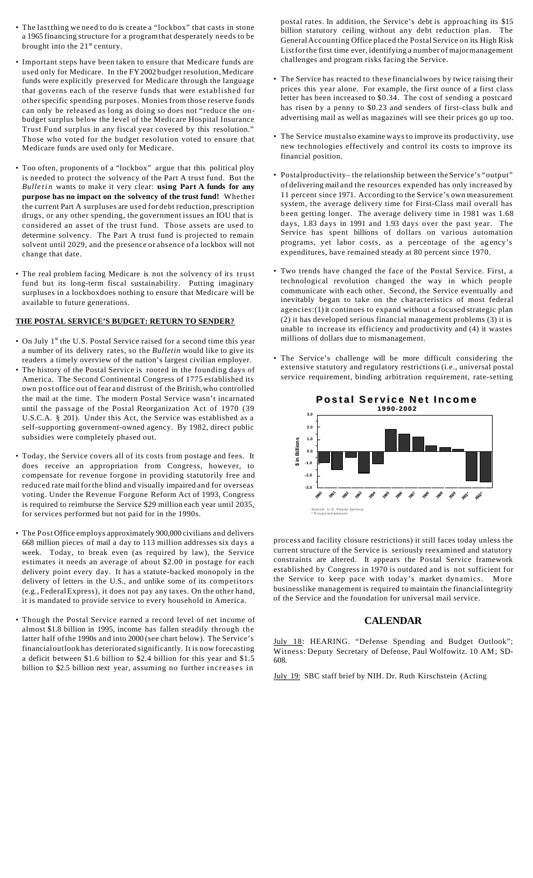- The last thing we need to do is create a "lockbox" that casts in stone a 1965 financing structure for a programthat desperately needs to be brought into the  $21<sup>st</sup>$  century.
- Important steps have been taken to ensure that Medicare funds are used only for Medicare. In the FY2002 budget resolution, Medicare funds were explicitly preserved for Medicare through the language that governs each of the reserve funds that were established for otherspecific spending purposes. Monies from those reserve funds can only be released as long as doing so does not "reduce the onbudget surplus below the level of the Medicare Hospital Insurance Trust Fund surplus in any fiscal year covered by this resolution." Those who voted for the budget resolution voted to ensure that Medicare funds are used only for Medicare.
- Too often, proponents of a "lockbox" argue that this political ploy is needed to protect the solvency of the Part A trust fund. But the *Bulletin* wants to make it very clear: **using Part A funds for any purpose has no impact on the solvency of the trust fund!** Whether the current Part A surpluses are used for debt reduction, prescription drugs, or any other spending, the government issues an IOU that is considered an asset of the trust fund. Those assets are used to determine solvency. The Part A trust fund is projected to remain solvent until 2029, and the presence or absence of a lockbox will not change that date.
- The real problem facing Medicare is not the solvency of its trust fund but its long-term fiscal sustainability. Putting imaginary surpluses in a lockboxdoes nothing to ensure that Medicare will be available to future generations.

#### **THE POSTAL SERVICE'S BUDGET: RETURN TO SENDER?**

- On July  $1<sup>st</sup>$  the U.S. Postal Service raised for a second time this year a number of its delivery rates, so the *Bulletin* would like to give its readers a timely overview of the nation's largest civilian employer.
- The history of the Postal Service is rooted in the founding days of America. The Second Continental Congress of 1775 established its own post office out of fear and distrust of the British,who controlled the mail at the time. The modern Postal Service wasn't incarnated until the passage of the Postal Reorganization Act of 1970 (39 U.S.C.A. § 201). Under this Act, the Service was established as a self-supporting government-owned agency. By 1982, direct public subsidies were completely phased out.
- Today, the Service covers all of its costs from postage and fees. It does receive an appropriation from Congress, however, to compensate for revenue forgone in providing statutorily free and reduced rate mail for the blind and visually impaired and for overseas voting. Under the Revenue Forgone Reform Act of 1993, Congress is required to reimburse the Service \$29 million each year until 2035, for services performed but not paid for in the 1990s.
- The Post Office employs approximately 900,000 civilians and delivers 668 million pieces of mail a day to 113 million addresses six days a week. Today, to break even (as required by law), the Service estimates it needs an average of about \$2.00 in postage for each delivery point every day. It has a statute-backed monopoly in the delivery of letters in the U.S., and unlike some of its competitors (e.g., FederalExpress), it does not pay any taxes. On the other hand, it is mandated to provide service to every household in America.
- Though the Postal Service earned a record level of net income of almost \$1.8 billion in 1995, income has fallen steadily through the latter half ofthe 1990s and into 2000 (see chart below). The Service's financialoutlook has deteriorated significantly. It is now forecasting a deficit between \$1.6 billion to \$2.4 billion for this year and \$1.5 billion to \$2.5 billion next year, assuming no further increases in

postal rates. In addition, the Service's debt is approaching its \$15 billion statutory ceiling without any debt reduction plan. The GeneralAccounting Office placed the Postal Service on its High Risk Listforthe first time ever, identifying a number of majormanagement challenges and program risks facing the Service.

- The Service has reacted to these financialwoes by twice raising their prices this year alone. For example, the first ounce of a first class letter has been increased to \$0.34. The cost of sending a postcard has risen by a penny to \$0.23 and senders of first-class bulk and advertising mail as well as magazines will see their prices go up too.
- The Service must also examine ways to improve its productivity, use new technologies effectively and control its costs to improve its financial position.
- Postalproductivity– the relationship between the Service's "output" of delivering mail and the resources expended has only increased by 11 percent since 1971. According to the Service's own measurement system, the average delivery time for First-Class mail overall has b een getting longer. The average delivery time in 1981 was 1.68 days, 1.83 days in 1991 and 1.93 days over the past year. The Service has spent billions of dollars on various automation programs, yet labor costs, as a percentage of the agency's expenditures, have remained steady at 80 percent since 1970.
- Two trends have changed the face of the Postal Service. First, a technological revolution changed the way in which people communicate with each other. Second, the Service eventually and inevitably began to take on the characteristics of most federal agencies:(1) it continues to expand without a focused strategic plan (2) it has developed serious financial management problems (3) it is unable to increase its efficiency and productivity and (4) it wastes millions of dollars due to mismanagement.
- The Service's challenge will be more difficult considering the extensive statutory and regulatory restrictions (i.e., universal postal service requirement, binding arbitration requirement, rate-setting



process and facility closure restrictions) it still faces today unless the current structure of the Service is seriously reexamined and statutory constraints are altered. It appears the Postal Service framework established by Congress in 1970 is outdated and is not sufficient for the Service to keep pace with today's market dynamics. More businesslike management is required to maintain the financialintegrity of the Service and the foundation for universal mail service.

# **CALENDAR**

July 18: HEARING. "Defense Spending and Budget Outlook"; Witness: Deputy Secretary of Defense, Paul Wolfowitz. 10 AM; SD-608.

July 19: SBC staff brief by NIH. Dr. Ruth Kirschstein (Acting